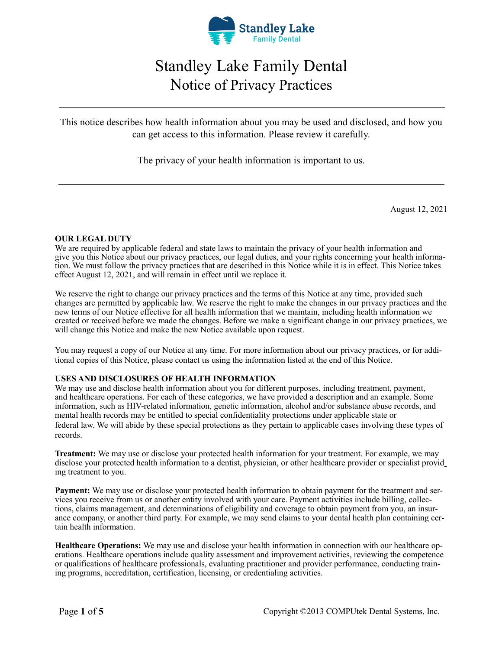

# Standley Lake Family Dental Notice of Privacy Practices

This notice describes how health information about you may be used and disclosed, and how you can get access to this information. Please review it carefully.

The privacy of your health information is important to us.

August 12, 2021

#### **OUR LEGAL DUTY**

We are required by applicable federal and state laws to maintain the privacy of your health information and give you this Notice about our privacy practices, our legal duties, and your rights concerning your health information. We must follow the privacy practices that are described in this Notice while it is in effect. This Notice takes effect August 12, 2021, and will remain in effect until we replace it.

We reserve the right to change our privacy practices and the terms of this Notice at any time, provided such changes are permitted by applicable law. We reserve the right to make the changes in our privacy practices and the new terms of our Notice effective for all health information that we maintain, including health information we created or received before we made the changes. Before we make a significant change in our privacy practices, we will change this Notice and make the new Notice available upon request.

You may request a copy of our Notice at any time. For more information about our privacy practices, or for additional copies of this Notice, please contact us using the information listed at the end of this Notice.

#### **USES AND DISCLOSURES OF HEALTH INFORMATION**

We may use and disclose health information about you for different purposes, including treatment, payment, and healthcare operations. For each of these categories, we have provided a description and an example. Some information, such as HIV-related information, genetic information, alcohol and/or substance abuse records, and mental health records may be entitled to special confidentiality protections under applicable state or federal law. We will abide by these special protections as they pertain to applicable cases involving these types of records.

**Treatment:** We may use or disclose your protected health information for your treatment. For example, we may disclose your protected health information to a dentist, physician, or other healthcare provider or specialist provid ing treatment to you.

**Payment:** We may use or disclose your protected health information to obtain payment for the treatment and services you receive from us or another entity involved with your care. Payment activities include billing, collections, claims management, and determinations of eligibility and coverage to obtain payment from you, an insurance company, or another third party. For example, we may send claims to your dental health plan containing certain health information.

**Healthcare Operations:** We may use and disclose your health information in connection with our healthcare operations. Healthcare operations include quality assessment and improvement activities, reviewing the competence or qualifications of healthcare professionals, evaluating practitioner and provider performance, conducting training programs, accreditation, certification, licensing, or credentialing activities.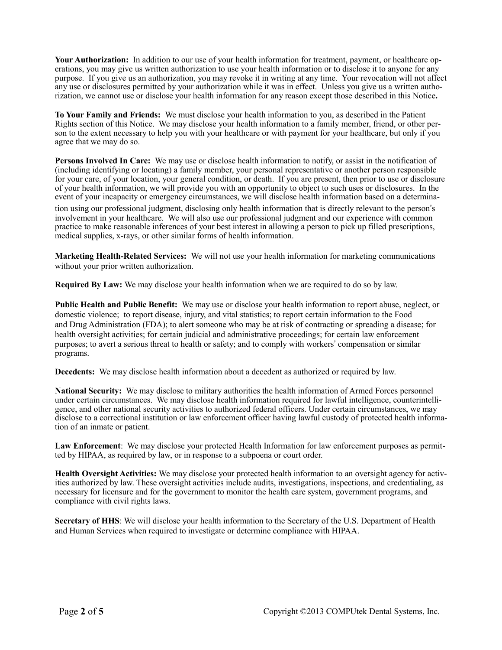**Your Authorization:** In addition to our use of your health information for treatment, payment, or healthcare operations, you may give us written authorization to use your health information or to disclose it to anyone for any purpose. If you give us an authorization, you may revoke it in writing at any time. Your revocation will not affect any use or disclosures permitted by your authorization while it was in effect. Unless you give us a written authorization, we cannot use or disclose your health information for any reason except those described in this Notice**.**

**To Your Family and Friends:** We must disclose your health information to you, as described in the Patient Rights section of this Notice. We may disclose your health information to a family member, friend, or other person to the extent necessary to help you with your healthcare or with payment for your healthcare, but only if you agree that we may do so.

**Persons Involved In Care:** We may use or disclose health information to notify, or assist in the notification of (including identifying or locating) a family member, your personal representative or another person responsible for your care, of your location, your general condition, or death. If you are present, then prior to use or disclosure of your health information, we will provide you with an opportunity to object to such uses or disclosures. In the event of your incapacity or emergency circumstances, we will disclose health information based on a determination using our professional judgment, disclosing only health information that is directly relevant to the person's involvement in your healthcare. We will also use our professional judgment and our experience with common practice to make reasonable inferences of your best interest in allowing a person to pick up filled prescriptions, medical supplies, x-rays, or other similar forms of health information.

**Marketing Health-Related Services:** We will not use your health information for marketing communications without your prior written authorization.

**Required By Law:** We may disclose your health information when we are required to do so by law.

**Public Health and Public Benefit:** We may use or disclose your health information to report abuse, neglect, or domestic violence; to report disease, injury, and vital statistics; to report certain information to the Food and Drug Administration (FDA); to alert someone who may be at risk of contracting or spreading a disease; for health oversight activities; for certain judicial and administrative proceedings; for certain law enforcement purposes; to avert a serious threat to health or safety; and to comply with workers' compensation or similar programs.

**Decedents:** We may disclose health information about a decedent as authorized or required by law.

**National Security:** We may disclose to military authorities the health information of Armed Forces personnel under certain circumstances. We may disclose health information required for lawful intelligence, counterintelligence, and other national security activities to authorized federal officers. Under certain circumstances, we may disclose to a correctional institution or law enforcement officer having lawful custody of protected health information of an inmate or patient.

**Law Enforcement**: We may disclose your protected Health Information for law enforcement purposes as permitted by HIPAA, as required by law, or in response to a subpoena or court order.

**Health Oversight Activities:** We may disclose your protected health information to an oversight agency for activities authorized by law. These oversight activities include audits, investigations, inspections, and credentialing, as necessary for licensure and for the government to monitor the health care system, government programs, and compliance with civil rights laws.

**Secretary of HHS**: We will disclose your health information to the Secretary of the U.S. Department of Health and Human Services when required to investigate or determine compliance with HIPAA.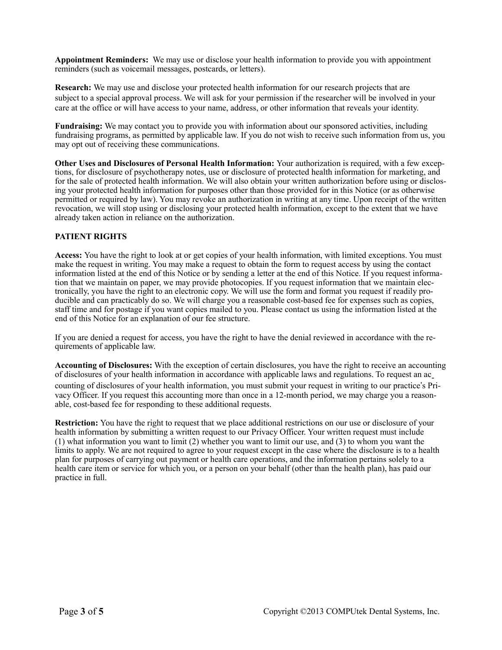**Appointment Reminders:** We may use or disclose your health information to provide you with appointment reminders (such as voicemail messages, postcards, or letters).

**Research:** We may use and disclose your protected health information for our research projects that are subject to a special approval process. We will ask for your permission if the researcher will be involved in your care at the office or will have access to your name, address, or other information that reveals your identity.

**Fundraising:** We may contact you to provide you with information about our sponsored activities, including fundraising programs, as permitted by applicable law. If you do not wish to receive such information from us, you may opt out of receiving these communications.

**Other Uses and Disclosures of Personal Health Information:** Your authorization is required, with a few exceptions, for disclosure of psychotherapy notes, use or disclosure of protected health information for marketing, and for the sale of protected health information. We will also obtain your written authorization before using or disclosing your protected health information for purposes other than those provided for in this Notice (or as otherwise permitted or required by law). You may revoke an authorization in writing at any time. Upon receipt of the written revocation, we will stop using or disclosing your protected health information, except to the extent that we have already taken action in reliance on the authorization.

### **PATIENT RIGHTS**

**Access:** You have the right to look at or get copies of your health information, with limited exceptions. You must make the request in writing. You may make a request to obtain the form to request access by using the contact information listed at the end of this Notice or by sending a letter at the end of this Notice. If you request information that we maintain on paper, we may provide photocopies. If you request information that we maintain electronically, you have the right to an electronic copy. We will use the form and format you request if readily producible and can practicably do so. We will charge you a reasonable cost-based fee for expenses such as copies, staff time and for postage if you want copies mailed to you. Please contact us using the information listed at the end of this Notice for an explanation of our fee structure.

If you are denied a request for access, you have the right to have the denial reviewed in accordance with the requirements of applicable law.

**Accounting of Disclosures:** With the exception of certain disclosures, you have the right to receive an accounting of disclosures of your health information in accordance with applicable laws and regulations. To request an ac counting of disclosures of your health information, you must submit your request in writing to our practice's Privacy Officer. If you request this accounting more than once in a 12-month period, we may charge you a reasonable, cost-based fee for responding to these additional requests.

**Restriction:** You have the right to request that we place additional restrictions on our use or disclosure of your health information by submitting a written request to our Privacy Officer. Your written request must include (1) what information you want to limit (2) whether you want to limit our use, and (3) to whom you want the limits to apply. We are not required to agree to your request except in the case where the disclosure is to a health plan for purposes of carrying out payment or health care operations, and the information pertains solely to a health care item or service for which you, or a person on your behalf (other than the health plan), has paid our practice in full.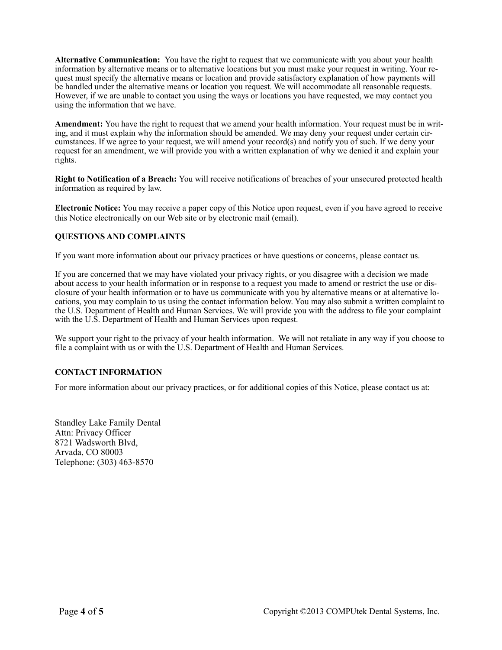**Alternative Communication:** You have the right to request that we communicate with you about your health information by alternative means or to alternative locations but you must make your request in writing. Your request must specify the alternative means or location and provide satisfactory explanation of how payments will be handled under the alternative means or location you request. We will accommodate all reasonable requests. However, if we are unable to contact you using the ways or locations you have requested, we may contact you using the information that we have.

**Amendment:** You have the right to request that we amend your health information. Your request must be in writing, and it must explain why the information should be amended. We may deny your request under certain circumstances. If we agree to your request, we will amend your record(s) and notify you of such. If we deny your request for an amendment, we will provide you with a written explanation of why we denied it and explain your rights.

**Right to Notification of a Breach:** You will receive notifications of breaches of your unsecured protected health information as required by law.

**Electronic Notice:** You may receive a paper copy of this Notice upon request, even if you have agreed to receive this Notice electronically on our Web site or by electronic mail (email).

### **QUESTIONS AND COMPLAINTS**

If you want more information about our privacy practices or have questions or concerns, please contact us.

If you are concerned that we may have violated your privacy rights, or you disagree with a decision we made about access to your health information or in response to a request you made to amend or restrict the use or disclosure of your health information or to have us communicate with you by alternative means or at alternative locations, you may complain to us using the contact information below. You may also submit a written complaint to the U.S. Department of Health and Human Services. We will provide you with the address to file your complaint with the U.S. Department of Health and Human Services upon request.

We support your right to the privacy of your health information. We will not retaliate in any way if you choose to file a complaint with us or with the U.S. Department of Health and Human Services.

### **CONTACT INFORMATION**

For more information about our privacy practices, or for additional copies of this Notice, please contact us at:

Standley Lake Family Dental Attn: Privacy Officer 8721 Wadsworth Blvd, Arvada, CO 80003 Telephone: (303) 463-8570